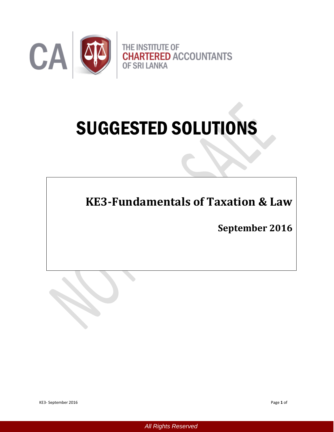

# SUGGESTED SOLUTIONS

**KE3-Fundamentals of Taxation & Law** 

**September 2016** 

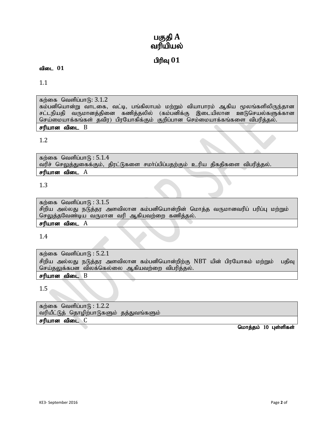# பகுதி A வரியியல்

# $n$ ரிவு  $01$

#### விடை 01

1.1

கற்கை வெளிப்பா $f<sub>B</sub>: 3.1.2$ 

கம்பனியொன்று வாடகை, வட்டி, பங்கிலாபம் மற்றும் வியாபாரம் ஆகிய மூலங்களிலிருந்தான சட்டநியதி வருமானத்தினை கணித்தலில் (கம்பனிக்கு இடையிலான ஊடுசெயல்களுக்கான செய்மையாக்கங்கள் தவிர) பிரயோகிக்கும் குறிப்பான செம்மையாக்கங்களை விபரித்தல்.

# சரியான விடை  $B$

## 1.2

கற்கை வெளிப்பா $f<sub>B</sub>$ : 5.1.4 வரிச் செலுத்துகைக்கும், திரட்டுகளை சமா்ப்பிப்பதற்கும் உரிய திகதிகளை விபரித்தல்.  $\epsilon$ ரியான விடை  $A$ 

# 1.3

கற்கை வெளிப்பா $f_5$  :  $3.1.5$ சிறிய அல்லது நடுத்தர அளவிலான கம்பனியொன்றின் மொத்த வருமானவரிப் பரிப்பு மற்றும் செலுத்தவேண்டிய வருமான வரி ஆகியவற்றை கணித்தல்.

# $\epsilon$ ரியான விடை  $A$

1.4

கற்கை வெளிப்பா $f<sub>B</sub>$ : 5.2.1 சிறிய அல்லது நடுத்தர அளவிலான கம்பனியொன்றிற்கு NBT யின் பிரயோகம் மற்றும் பதிவு செய்தலுக்கபன விலக்கெல்லை ஆகியவற்றை விபரித்தல். சரியான விடை **B** 

1.5

கற்கை வெளிப்பா $f_5$ : 1.2.2 வரியீட்டுத் தொழிற்பாடுகளும் தத்துவங்களும் சரியான விடை C

மொத்தம் 10 புள்ளிகள்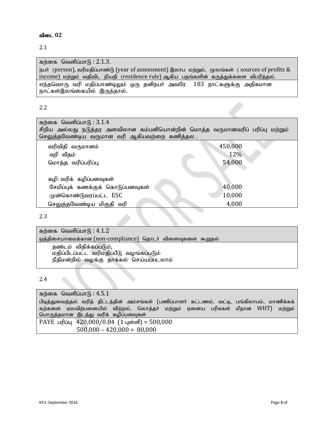#### 2.1

கற்கை வெளிப்பா $f<sub>B</sub>$ : 2.1.3.

நபர் (person), வரிமதிப்பாண்டு (year of assessment) இலாப மற்றும், மூலங்கள் (sources of profits & income) மற்றும் வதிவிட நியதி (residence rule) ஆகிய பதங்களின் கருத்துக்களை விபரித்தல். எந்தவொரு வரி மதிப்பாண்டிலும் ஒரு தனிநபர் அவரே 183 நாட்களுக்கு அதிகமான நாட்கள்இலங்கையில் இருந்தால்.

#### 2.2

| கற்கை வெளிப்பா $(6:3.1.4)$<br>சிறிய அல்லது நடுத்தர அளவிலான கம்பனியொன்றின் மொத்த வருமானவரிப் பரிப்பு மற்றும்<br>செலுத்தவேண்டிய வருமான வரி ஆகியவற்றை கணித்தல . |         |
|--------------------------------------------------------------------------------------------------------------------------------------------------------------|---------|
|                                                                                                                                                              |         |
| வரிவிதி வருமானம்                                                                                                                                             | 450,000 |
| வுரி வீதம்                                                                                                                                                   | 12%     |
| மொத்த வரிப்பரிப்பு                                                                                                                                           | 54,000  |
| கழி: வரிக்  கழிப்பனவுகள்                                                                                                                                     |         |
| சேமிப்புக் கணக்குக் கொடுப்பனவுகள்                                                                                                                            | 40,000  |
| முன்கொண்டுவரப்பட்ட ESC                                                                                                                                       | 10,000  |
| செலுத்தவேண்டிய மிகுதி வரி                                                                                                                                    | 4,000   |

2.3

கற்கை வெளிப்பா $f_5$ :  $4.1.2$ ஒத்திசையாமைக்கான (non-compliance) தொடர் விளைவுகளை கூறுதல் தண்டம் விதிக்கப்படும், மதிப்பிடப்பட்ட வரிமதிப்பீடு வழங்கப்படும் நீதிமன்றில் வழக்கு தாக்கல் செய்யப்படலாம்

# 2.4

| கற்கை வெளிப்பாடு : $4.5.1$                                                                    |
|-----------------------------------------------------------------------------------------------|
| பிடித்துவைத்தல் வரித் திட்டத்தின் அம்சங்கள் (பணிப்பாளர் கட்டணம், வட்டி, பங்கிலாபம், மாணிக்கக் |
| கற்களை ஏலவிற்பனையில் விற்றல், லொத்தர் மற்றும் ஏனைய பரிசுகள் மீதான WHT)<br>மற்றும்             |
| பொருத்தமான இடத்து வரிக் கழிப்பனவுகள்                                                          |
| PAYE பரிப்பு $420,000/0.84$ (1 புள்ளி) = 500,000                                              |
| $500,000 - 420,000 = 80,000$                                                                  |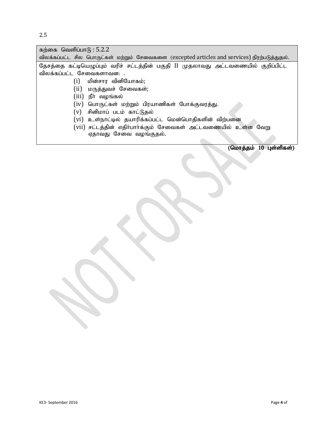| கற்கை வெளிப்பா $(6:5.2.2)$                                                                   |
|----------------------------------------------------------------------------------------------|
| விலக்கப்பட்ட சில பொருட்கள் மற்றும் சேவைகளை (excepted articles and services) நிரற்படுத்துதல். |
| தேசத்தை கட்டியெழுப்பும் வரிச் சட்டத்தின் பகுதி II முதலாவது அட்டவணையில் குறிப்பிட்ட           |
| விலக்கப்பட்ட சேவைகளாவன: .                                                                    |
| மின்சார வினியோகம்;<br>(i)                                                                    |
| (ii) மருத்துவச் சேவைகள்;                                                                     |
| (iii) நீா் வழங்கல்                                                                           |
| (iv) பொருட்கள் மற்றும் பிரயாணிகள் போக்குவரத்து.                                              |
| (v) சினிமாப் படம் காட்டுதல்                                                                  |
| (vi) உள்நாட்டில் தயாரிக்கப்பட்ட மென்பொதிகளின் விற்பனை                                        |
| (vii) சட்டத்தின் எதிர்பார்க்கும் சேவைகள் அட்டவணையில் உள்ள வேறு                               |
| ஏதாவது சேவை வழங்குதல்.                                                                       |
|                                                                                              |

J.

J

J.

 $\overline{\text{(Glu)}$ ரத்தம்  $10$  புள்ளிகள்)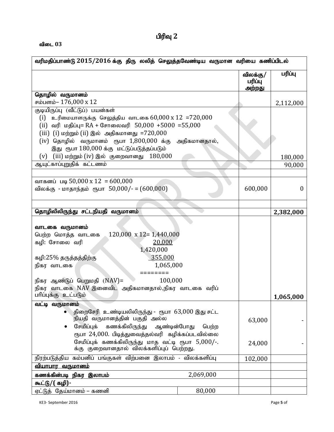#### $\mathbf{d}$ டை  $03$

| வரிமதிப்பாண்டு 2015/2016 க்கு திரு லலித் செலுத்தவேண்டிய வருமான வரியை கணிப்பிடல்                    |           |                               |                |
|----------------------------------------------------------------------------------------------------|-----------|-------------------------------|----------------|
|                                                                                                    |           | விலக்கு/<br>பரிப்பு<br>அற்றது | பரிப்பு        |
| தொழில் வருமானம்                                                                                    |           |                               |                |
| சம்பளம்- 176,000 x 12                                                                              |           |                               | 2,112,000      |
| குடியிருப்பு (வீட்டுப்) பயன்கள்<br>(i) உரிமையாளருக்கு செலுத்திய வாடகை $60,000 \times 12 = 720,000$ |           |                               |                |
| (ii) வரி மதிப்பு= RA + சோலைவரி 50,000 +5000 =55,000                                                |           |                               |                |
| (iii) (i) மற்றும் (ii) இல் அதிகமானது =720,000                                                      |           |                               |                |
| (iv) தொழில் வருமானம் ரூபா $1,800,000$ க்கு அதிகமானதால்,                                            |           |                               |                |
| இது ரூபா 180,000 க்கு மட்டுப்படுத்தப்படும்                                                         |           |                               |                |
| (iii) மற்றும் (iv) இல் குறைவானது $180,000$<br>(v)                                                  |           |                               | 180,000        |
| ஆயுட்காப்புறுதிக் கட்டணம்                                                                          |           |                               | 90,000         |
|                                                                                                    |           |                               |                |
| வாகனப் படி 50,000 x 12 = 600,000                                                                   |           |                               |                |
| விலக்கு - மாதாந்தம் ரூபா $50,000/- = (600,000)$                                                    |           | 600,000                       | $\overline{0}$ |
|                                                                                                    |           |                               |                |
|                                                                                                    |           |                               |                |
| தொழிலிலிருந்து சட்டநியதி வருமானம்                                                                  |           |                               | 2,382,000      |
|                                                                                                    |           |                               |                |
| வாடகை வருமானம்                                                                                     |           |                               |                |
| $120,000 \times 12 = 1,440,000$<br>பெற்ற மொத்த வாடகை                                               |           |                               |                |
| கழி: சோலை வரி<br>20,000                                                                            |           |                               |                |
| 1,420,000                                                                                          |           |                               |                |
| 355,000<br>கழி:25% தருத்தத்திற்கு                                                                  |           |                               |                |
| 1,065,000<br>நிகர வாடகை                                                                            |           |                               |                |
|                                                                                                    |           |                               |                |
| 100,000<br>நிகர ஆண்டுப் பெறுமதி (NAV)=                                                             |           |                               |                |
| நிகர வாடகை NAV இனைவிட அதிகமானதால்,நிகர வாடகை வரிப்                                                 |           |                               |                |
| பரிப்புக்கு உட்படும்                                                                               |           |                               | 1,065,000      |
| வட்டி வருமானம்                                                                                     |           |                               |                |
| திறைசேரி உண்டியலிலிருந்து - ரூபா 63,000 இது சட்ட                                                   |           |                               |                |
| நியதி வருமானத்தின் பகுதி அல்ல                                                                      |           | 63,000                        |                |
| சேமிப்புக்<br>கணக்கிலிருந்து ஆண்டின்போது                                                           | பெற்ற     |                               |                |
| ரூபா 24,000. பிடித்துவைத்தல்வரி கழிக்கப்படவில்லை                                                   |           |                               |                |
| சேமிப்புக் கணக்கிலிருந்து மாத வட்டி ரூபா $5,000/-$ .                                               |           | 24,000                        |                |
| க்கு குறைவானதால் விலக்களிப்புப் பெற்றது.                                                           |           |                               |                |
| நிரற்படுத்திய கம்பனிப் பங்குகள் விற்பனை இலாபம் - விலக்களிப்பு                                      |           | 102,000                       |                |
| <u>வியாபார வருமானம்</u>                                                                            |           |                               |                |
| கணக்கின்படி நிகர இலாபம்                                                                            | 2,069,000 |                               |                |
| கூட்டு/( கழி)-                                                                                     |           |                               |                |
| ஏட்டுத் தேய்மானம் – கணனி                                                                           | 80,000    |                               |                |

KE3- September 2016 Page **5** of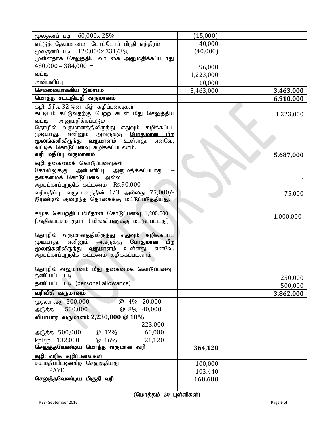| மூலதனப் படி 60,000x 25%                             | (15,000)  |           |
|-----------------------------------------------------|-----------|-----------|
| ஏட்டுத் தேய்மானம் – போட்டோப் பிரதி எந்திரம்         | 40,000    |           |
| மூலதனப் படி 120,000x 331/3%                         | (40,000)  |           |
| முன்னதாக செலுத்திய வாடகை அனுமதிக்கப்படாது           |           |           |
| $480,000 - 384,000 =$                               | 96,000    |           |
| வட்டி                                               | 1,223,000 |           |
| அன்பளிப்பு                                          | 10,000    |           |
| செம்மையாக்கிய இலாபம்                                | 3,463,000 | 3,463,000 |
| மொத்த சட்டநியதி வருமானம்                            |           | 6,910,000 |
| கழி: பிரிவு 32 இன் கீழ் கழிப்பனவுகள்                |           |           |
| கட்டிடம் கட்டுவதற்கு பெற்ற கடன் மீது செலுத்திய      |           | 1,223,000 |
| வட்டி — அனுமதிக்கப்படும்                            |           |           |
| தொழில் வருமானத்திலிருந்து எதுவும் கழிக்கப்பட        |           |           |
| முடியாது. எனினும் அவருக்கு <mark>போதுமான பிற</mark> |           |           |
| <b>மூலங்களிலிருந்து வருமானம்</b> உள்ளது.<br>எனவே,   |           |           |
| வட்டிக் கொடுப்பனவு கழிக்கப்படலாம்.                  |           |           |
| வரி மதிப்பு வருமானம்                                |           | 5,687,000 |
| கழி: தகைமைக் கொடுப்பனவுகள்                          |           |           |
| கோவிலுக்கு<br>அன்பளிப்பு<br>அனுமதிக்கப்படாது        |           |           |
| தகைமைக் கொடுப்பனவு அல்ல                             |           |           |
| ஆயுட்காப்புறுதிக் கட்டணம் - Rs.90,000               |           |           |
| வரிமதிப்பு வருமானத்தின் 1/3 அல்லது 75,000/-         |           | 75,000    |
| இரண்டில் குறைந்த தொகைக்கு மட்டுப்படுத்தியது.        |           |           |
| சமூக செயற்திட்டம்மீதான கொடுப்பனவு 1,200,000         |           |           |
| (அதிகபட்சம் ரூபா 1 மில்லியனுக்கு மட்டுப்பட்டது)     |           | 1,000,000 |
|                                                     |           |           |
| தொழில் வருமானத்திலிருந்து எதுவும் கழிக்கப்பட        |           |           |
| எனினும் அவருக்கு <b>போதுமான பிற</b><br>முடியாது.    |           |           |
| <u>மூலங்களிலிருந்து வருமானம்</u> உள்ளது.<br>எனவே,   |           |           |
| ஆயுட்காப்புறுதிக் கட்டணம் கழிக்கப்படலாம்            |           |           |
|                                                     |           |           |
| தொழில் வலுமானம் மீது தகைமைக் கொடுப்பனவு             |           |           |
| தனிப்பட்ட படி                                       |           | 250,000   |
| தனிப்பட்ட படி (personal allowance)                  |           | 500,000   |
| வரிவிதி வருமானம்                                    |           | 3,862,000 |
| @ 4% 20,000<br>முதலாவது 500,000                     |           |           |
| 500,000<br>@ 8% 40,000<br>அடுத்த                    |           |           |
| வியாபார  வருமானம் 2,230,000 @ $10\%$                |           |           |
| 223,000                                             |           |           |
| அடுத்த 500,000<br>@ 12%<br>60,000                   |           |           |
| 132,000<br>@ 16%<br>21,120<br>kpFjp                 |           |           |
| செலுத்தவேண்டிய மொத்த வருமான வரி                     | 364,120   |           |
| கழி: வரிக் கழிப்பனவுகள்                             |           |           |
| சுயமதிப்பீட்டின்கீழ் செலுத்தியது                    | 100,000   |           |
| <b>PAYE</b>                                         | 103,440   |           |
| செலுத்தவேண்டிய மிகுதி வரி                           | 160,680   |           |
|                                                     |           |           |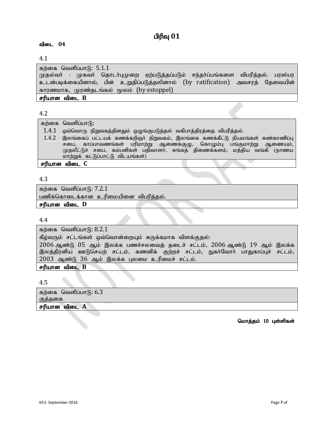# **பிரிவு 01**

# விடை 04

## 4.1

கற்கை வெளிப்பாடு:  $5.1.1$ முதல்வா் - முகவா் தொடா்புமுறை ஏற்படுத்தப்படும் சந்தா்ப்பங்களை விபரித்தல். பரஸ்பர உடன்படிக்கையினால்; பின் உறுதிப்படுத்தலினால் (by ratification) அவசரத் தேவையின் காரணமாக, முரண்தடங்கல் மூலம் (by estoppel) சரியான விடை  $B$ 

#### 4.2

கற்கை வெளிப்பா $f$ :

- $1.4.1$  ஓவ்வொரு நிறுவகத்தினதும் ஒழுங்குபடுத்தல் வகிபாத்திரத்தை விபரித்தல்.
- $1.4.2$  இலங்கைப் பட்டயக் கணக்கறிஞர் நிறுவகம், இலங்கை கணக்கீட்டு நியமங்கள் கண்காணிப்பு சபை, காப்பாவணங்கள் பரிமாற்று ஆணைக்குழு, கொழும்பு பங்குமாற்று ஆணையம், $\mid$ முதலீட்டுச் சபை, கம்பனிகள் பதிவாளா், சுங்கத் திணைக்களம், மத்திய வங்கி (நாணய| மாற்றுக் கட்டுப்பாட்டு விடயங்கள்)

#### சரியான விடை C

#### 4.3

கற்கை வெளிப்பா $f<sub>0</sub>: 7.2.1$ 

பணிக்கொடைக்கான உரிமையினை விபரித்தல்.

சரியான விடை **D** 

4.4

கற்கை வெளிப்பா $f$ : 8.2.1

கீழ்வரும் சட்டங்கள் ஒவ்வொன்றையும் சுருக்கமாக விளக்குதல்:

 $2006$  ஆண்டு  $05$  ஆம் இலக்க பணச்சலவைத் தடைச் சட்டம்,  $2006$  ஆண்டு  $19$  ஆம் இலக்க இலத்திரனிய ஊடுசெயற் சட்டம், கணனிக் குற்றச் சட்டம், நுகர்வோர் பாதுகாப்புச் சட்டம்,  $2003$  ஆண்டு  $36$  ஆம் இலக்க புலமை உரிமைச் சட்டம்.

சரியான விடை  $B$ 

4.5

| கற்கை வெளிப்பாடு: 6.3 |  |
|-----------------------|--|
| குததகை                |  |
| சரியான விடை <b>A</b>  |  |

மொத்தம் 10 புள்ளிகள்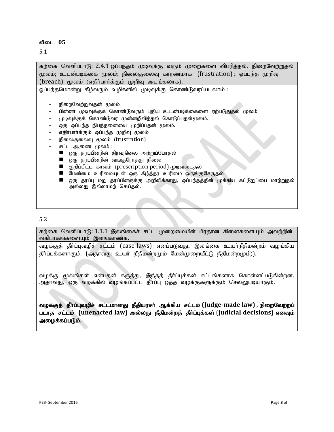5.1

கற்கை வெளிப்பாடு: 2.4.1 ஒப்பந்தம் முடிவுக்கு வரும் முறைகளை விபரித்தல். நிறைவேற்றுதல் மூலம்; உடன்படிக்கை மூலம்; நிலைகுலைவு காரணமாக  $(frustration)$  ; ஒப்பந்த முறிவு  $(breach)$  மூலம் (எதிர்பார்க்கும் முறிவு அடங்கலாக). ஓப்பந்தமொன்று கீழ்வரும் வழிகளில் முடிவுக்கு கொண்டுவரப்படலாம் : நிறைவேற்றுவதன் மூலம் பின்னா் முடிவுக்குக் கொண்டுவரும் புதிய உடன்படிக்கைளை ஏற்படுதுதல் மூலம் முடிவுக்குக் கொண்டுவர முன்னறிவித்தல் கொடுப்பதன்மூலம். ஒரு ஒப்பந்த நிபந்தனையை முறிப்பதன் மூலம். எதிா்பாா்க்கும் ஒப்பந்த முறிவு மூலம் நிலைகுலைவு மூலம் (frustration) சட்ட ஆணை மூலம் :  $\blacksquare$  ஒரு தரப்பினரின் திரவநிலை அற்றுப்போதல்  $\blacksquare$  ஒரு தரப்பினரின் வங்குரோத்து நிலை ு குறிப்பிட்ட காலம் (prescription period) முடிவடைதல்  $\blacksquare$  மேன்மை உரிமையுடன் ஒரு கீழ்த்தர உரிமை ஒருங்குசேருதல்  $\blacksquare$  ஒரு தரப்பு மறு தரப்பினருக்கு அறிவிக்காது, ஒப்பந்தத்தின் முக்கிய கட்டுறுப்பை மாற்றுதல் அல்லது இல்லாமற் செய்தல்.

#### 5.2

கற்கை வெளிப்பாடு: 1.1.1 இலங்கைச் சட்ட முறைமையின் பிரதான கிளைகளையும் அவற்றின் வகிபாகங்களையும் இனங்காண்க.

வழக்குத் தீா்ப்புவழிச் சட்டம் (case laws) எனப்படுவது, இலங்கை உயா்நீதிமன்றம் வழங்கிய தீா்ப்புக்களாகும். (அதாவது உயா் நீதிமன்றமும் மேன்முறையீட்டு நீதிமன்றமும்)).

வழக்கு மூலங்கள் என்பதன் கருத்து, இந்தத் தீர்ப்புக்கள் சட்டங்களாக கொள்ளப்படுகின்றன. அதாவது, ஒரு வழக்கில் வழங்கப்பட்ட தீா்ப்பு ஒத்த வழக்குகளுக்கும் செல்லுபடியாகும்.

வழக்குத் தீர்ப்புவழிச் சட்டமானது நீதியரசர் ஆக்கிய சட்டம் (Judge-made law) , நிறைவேற்றப் படாத சட்டம் (unenacted law) அல்லது நீதிமன்றத் தீர்ப்புக்கள் (judicial decisions) எனவும் அழைக்கப்படும்..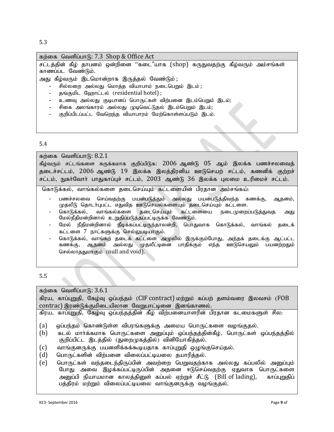5.3

| கற்கை வெளிப்பாடு: 7.3 Shop & Office Act                                                              |
|------------------------------------------------------------------------------------------------------|
| சட்டத்தின் கீழ் தாபனம் ஒன்றினை ''கடை"யாக (shop) கருதுவதற்கு கீழ்வரும் அம்சங்கள்<br>காணப்பட வேண்டும். |
| அது கீழ்வரும் இடமொன்றாக இருத்தல் வேண்டும் ;                                                          |
| சில்லறை அல்லது மொத்த வியாபாம் நடைபெறும் இடம்;                                                        |
| தங்குமிட ஹோட்டல் (residential hotel);                                                                |
| உணவு அல்லது குடிபானப் பொருட்கள் விற்பனை இடம்பெறும் இடம்;                                             |
| சிகை அலங்காரம் அல்லது முடிவெட்டுதல் இடம்பெறும் இடம்;                                                 |
| குறிப்பிடப்பட்ட வேறெந்த வியாபாரம் மேற்கொள்ளப்படும் இடம்.                                             |
|                                                                                                      |
|                                                                                                      |
| E 4                                                                                                  |

## 5.4

# கற்கை வெளிப்பா $f$ 6: 8.2.1

கீழ்வரும் சட்டங்களை சுருக்கமாக குறிப்பிடுக: 2006 ஆண்டு 05 ஆம் இலக்க பணச்சலவைத் தடைச்சட்டம், 2006 ஆண்டு 19 இலக்க இலத்திரனிய ஊடுசெயற் சட்டம், கணனிக் குற்றச் சட்டம், நுகர்வோர் பாதுகாப்புச் சட்டம், 2003 ஆண்டு 36 இலக்க புலமை உரிமைச் சட்டம்.

கொடுக்கல், வாங்கல்களை தடைசெய்யும் கட்டளையின் பிரதான அம்சங்கய்:

- பணச்சலவை செய்வதற்கு பயன்படுத்தும் அல்லது பயன்படுத்திவந்த கணக்கு, ஆதனம், முதலீடு தொடர்புபட்ட எதுவித ஊடுசெயல்களையும் தடைசெய்யும் கட்டளை.<br>கொடுக்கல், வாங்கல்களை தடைசெய்யும் கட்டளையை நடைமுறை၊
- கொடுக்கல், வாங்கல்களை தடைசெய்யும் கட்டளையை நடைமுறைப்படுத்துவத அது மேல்நீதிமன்றினால் உறுதிப்படுத்தப்பட்டிருக்க வேண்டும்.
- மேல் நீதிமன்றினால் நீடிக்கப்பட்டிருந்தாலன்றி, பொதுவாக கொடுக்கல், வாங்கல் தடைக் கட்டளை 7 நாட்களுக்கு செல்லுபடியாகும்.
- கொடுக்கல், வாங்கற் தடைக் கட்டளை அமுலில் இருக்கும்போது, அந்தக் தடைக்கு ஆட்பட்ட கணக்கு, ஆதனம் அல்லது முதலீட்டினை பாதிக்கும் எந்த ஊடுசெயலும் பயனற்றதும் செல்லாததுமாகும் (null and void).

# 5.5

| கற்கை வெளிப்பாடு: $3.6.1$                                                             |
|---------------------------------------------------------------------------------------|
| கிரய, காப்புறுதி, கேழ்வு ஒப்பந்தம் (CIF contract) மற்றும் கப்பற் தளம்வரை இலவசம் (FOB  |
| contrac) இரண்டுக்குமிடையிலான வேறுபாட்டினை இனங்காணல்.                                  |
| கிரய, காப்புறுதி, கேழ்வு ஒப்பந்தத்தின் கீழ் விற்பனையாளரின் பிரதான கடமைகளுள் சில:      |
|                                                                                       |
| (a)<br>ஒப்பந்தம் கொண்டுள்ள விபரங்களுக்கு அமைய பொருட்களை வழங்குதல்.                    |
| (b)<br>கடல் மார்க்கமாக பொருட்களை அனுப்பும் ஒப்பந்தத்தின்கீழ், பொருட்கள் ஒப்பந்தத்தில் |
| குறிப்பிட்ட இடத்தில் (துறைமுகத்தில்) வினியோகித்தல்.                                   |
| (c)<br>வாங்குனருக்கு பயனளிக்கக்கூடியதாக காப்புறுதி ஒழுங்குசெய்தல்.                    |
| (d)<br>பொருட்களின் விற்பனை விலைப்பட்டியலை தயாரித்தல்.                                 |
| (e)<br>பொருட்கள் வந்தடைந்திருப்பின் அவற்றை பெறுவதற்காக அல்லது கப்பலில் அனுப்பும்      |
| போது அவை இழக்கப்பட்டிருப்பின் அதனை ஈடுசெய்வதற்கு ஏதுவாக பொருட்களை                     |
| அனுப்பி நியாயமான காலத்தினுள் கப்பல் ஏற்றுச் சீட்டு (Bill of lading), காப்புறுதிப்     |
| பத்திரம் மற்றும் விலைப்பட்டியலை வாங்குனருக்கு வழங்குதல்.                              |
|                                                                                       |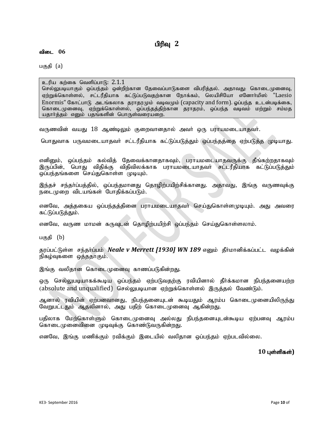# பிரிவு 2

விடை 06

பகுதி (a)

உரிய கற்கை வெளிப்பாடு:  $2.1.1$ செல்லுபடியாகும் ஒப்பந்தம் ஒன்றிற்கான தேவைப்பாடுகளை விபரித்தல். அதாவது: கொடைமுனைவு, ஏற்றுக்கொள்ளல், சட்டரீதியாக கட்டுப்படுவதற்கான நோக்கம், லெயிசியோ எனோா்மிஸ் "Laesio Enormis" கோட்பாடு அடங்கலாக தராதரமும் வடிவமும் (capacity and form). லப்பந்த உடன்படிக்கை, கொடைமுனைவு, ஏற்றுக்கொள்ளல், லப்பந்தத்திற்கான தராதரம், லப்பந்த வடிவம் மற்றும் சம்மத யதார்த்தம் எனும் பதங்களின் பொருள்வரையறை.

வருணவின் வயது 18 ஆண்டிலும் குறைவானதால் அவர் ஒரு பராயமடையாதவர்.

பொதுவாக பருவமடையாதவா் சட்டரீதியாக கட்டுப்படுத்தும் ஒப்பந்தத்தை ஏற்படுத்த முடியாது.

எனினும், ஒப்பந்தம் கல்வித் தேவைக்கானதாகவும், பராயமடையாதவருக்கு தீங்கற்றதாகவும் இருப்பின், பொது விதிக்கு விதிவிலக்காக பராயமடையாதவர் சட்டரீதியாக கட்டுப்படுத்தும் ஒப்பந்தங்களை செய்துகொள்ள முடியும்.

இந்தச் சந்தா்ப்பத்தில், ஒப்பந்தமானது தொழிற்பயிற்சிக்கானது. அதாவது, இங்கு வருணவுக்கு நடைமுறை விடயங்கள் போதிக்கப்படும்.

எனவே, அத்தகைய ஒப்பந்தத்தினை பராயமடையாதவர் செய்துகொள்ளமுடியும். அது அவரை கட்டுப்படுத்தும்.

எனவே, வருண மாமன் கருவுடன் தொழிற்பயிற்சி ஒப்பந்தம் செய்துகொள்ளலாம்.

பகுதி (b)

தூப்பட்டுள்ள சந்தர்ப்பம் *Neale v Merrett [1930] WN 189* எனும் தீர்மானிக்கப்பட்ட வழக்கின் நிகழ்வுகளை ஒத்ததாகும்.

இங்கு வலிதான கொடைமுனைவு காணப்படுகின்றது.

ஒரு செல்லுபடியாகக்கூடிய ஒப்பந்தம் ஏற்படுவதற்கு ரவியினால் தீர்க்கமான நிபந்தனையற்ற (absolute and unqualified) செல்லுபடியான ஏற்றுக்கொள்ளல் இருத்தல் வேண்டும்.

ஆனால் ரவியின் ஏற்பனவானது, நிபந்தனையுடன் கூடியதும் ஆரம்ப கொடைமுனையிலிருந்து வேறுபட்டதும் ஆதலினால், அது பதிற் கொடைமுனைவு ஆகின்றது.

பதிலாக மேற்கொள்ளும் கொடைமுனைவு அல்லது நிபந்தனையுடன்கூடிய ஏற்பனவு ஆரம்ப கொடைமுனைவினை முடிவுக்கு கொண்டுவருகின்றது.

எனவே, இங்கு மணிக்கும் ரவிக்கும் இடையில் வலிதான ஒப்பந்தம் ஏற்படவில்லை.

10 புள்ளிகள்)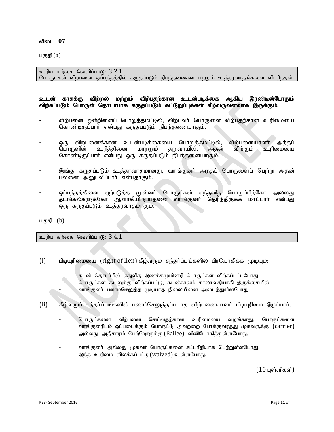பகுதி (a)

உரிய கற்கை வெளிப்பாடு:  $3.2.1$ பொருட்கள் விற்பனை ஒப்பந்தத்தில் கருதப்படும் நிபந்தனைகள் மற்றும் உத்தரவாதங்களை விபரித்தல்.

#### <u>உடன் காசுக்கு விற்றல் மற்றும் விற்பதற்கான உடன்படிக்கை ஆகிய இரண்டின்போதும்</u> <u>விற்கப்படும் பொருள் தொடர்பாக கருதப்படும் கட்டுறுப்பக்கள் கீம்வருவனவாக இருக்கும்.</u>

- விற்பனை ஒன்றினைப் பொறுத்தமட்டில், விற்பவர் பொருளை விற்பதற்கான உரிமையை கொண்டிருப்பாா் என்பது கருதப்படும் நிபந்தனையாகும்.
- ஒரு விற்பனைக்கான உடன்படிக்கையை பொறுத்தமட்டில், விற்பனையாளர் அந்தப்<br>பொருளின் உரித்தினை மாற்றும் தறுவாயில், அதன் விற்கும் உரிமையை பொருளின் உரித்தினை மாற்றும் தறுவாயில், அதன் கொண்டிருப்பாா் என்பது ஒரு கருதப்படும் நிபந்தனையாகும்.
- இங்கு கருதப்படும் உத்தரவாதமானது, வாங்குனா் அந்தப் பொருளைப் பெற்று அதன் பலனை அனுபவிப்பார் என்பதாகும்.
- ஒப்பந்தத்தினை ஏற்படுத்த முன்னா் பொருட்கள் எந்தவித பொறுப்பிற்கோ அல்லது தடங்கல்களுக்கோ ஆளாகியிருப்பதனை வாங்குனா் தெரிந்திருக்க மாட்டாா் என்பது ஒரு கருதப்படும் உத்தரவாதமாகும்.

பகுதி $(b)$ 

 $p$ ெரிய கற்கை வெளிப்பாடு:  $3.4.1$ 

#### $(i)$  பிடியுரிமையை (right of lien) கீழ்வரும் சந்தர்ப்பங்களில் பிரயோகிக்க முடியும்:

- கடன் தொடா்பில் எதுவித இணக்கமுமின்றி பொருட்கள் விற்கப்பட்டபோது.
- பொருட்கள் கடனுக்கு விற்கப்பட்டு, கடன்காலம் காலாவதியாகி இருக்கையில்.
- வாங்குனா் பணம்செலுத்த முடியாத நிலையினை அடைந்துள்ளபோது.

#### $(i)$  கீழ்வரும் சந்தர்ப்பங்களில் பணம்செலுத்தப்படாத விற்பனையாளர் பிடியுரிமை இழப்பார்.

- பொருட்களை விற்பனை செய்வதற்கான உரிமையை வழங்காது, பொருட்களை வாங்குனரிடம் ஒப்படைக்கும் பொருட்டு அவற்றை போக்குவரத்து முகவருக்கு (carrier) அல்லது அதிகாரம் பெற்றோருக்கு (Bailee) வினியோகித்துள்ளபோது.
- வாங்குனா் அல்லது முகவா் பொருட்களை சட்டரீதியாக பெற்றுள்ளபோது.
- இந்த உரிமை விலக்கப்பட்டு (waived) உள்ளபோது.

 $(10 \text{ L} \cdot \text{S} \cdot \text{S} \cdot \text{S} \cdot \text{S} \cdot \text{S} \cdot \text{S} \cdot \text{S} \cdot \text{S} \cdot \text{S} \cdot \text{S} \cdot \text{S} \cdot \text{S} \cdot \text{S} \cdot \text{S} \cdot \text{S} \cdot \text{S} \cdot \text{S} \cdot \text{S} \cdot \text{S} \cdot \text{S} \cdot \text{S} \cdot \text{S} \cdot \text{S} \cdot \text{S} \cdot \text{S} \cdot \text{S} \cdot \text{S} \cdot \text{S} \cdot \text{S} \cdot \text{S} \$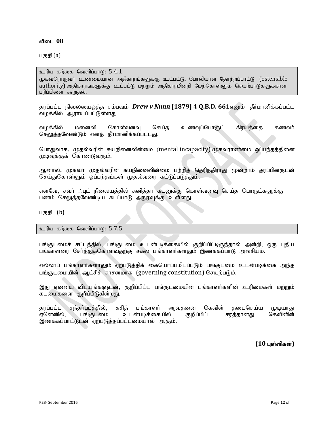பகுதி (a)

உரிய கற்கை வெளிப்பாடு:  $5.4.1$ முகவரொருவர் உண்மையான அதிகாரங்களுக்கு உட்பட்டு, போலியான கோற்றப்பாட்டு (ostensible authority) அதிகாரங்களுக்கு உட்பட்டு மற்றும் அதிகாரமின்றி மேற்கொள்ளும் செயற்பாடுகளுக்கான பரிப்பினை கூறுதல்.

தரப்பட்ட நிலையைஒத்த சம்பவம் *Drew v Nunn* [1879] 4 Q.B.D. 661எனும் தீா்மானிக்கப்பட்ட வழக்கில் ஆராயப்பட்டுள்ளது

வழக்கில் மனைவி கொள்வனவு செய்த உணவுப்பொருட் கிரயத்தை கணவர் செலுத்தவேண்டும் எனத் தீர்மானிக்கப்பட்டது.

பொதுவாக, முதல்வரின் சுயநினைவின்மை (mental incapacity) முகவராண்மை ஒப்பந்தத்தினை முடிவுக்குக் கொண்டுவரும்.

ஆனால், முகவா் முதல்வரின் சுயநினைவின்மை பற்றித் தெரிந்திராது மூன்றாம் தரப்பினருடன் செய்துகொள்ளும் ஒப்பந்தங்கள் முதல்வரை கட்டுப்படுத்தும்.

எனவே, சவா் .`.புட் நிலையத்தில் சுனித்தா கடனுக்கு கொள்வனவு செய்த பொருட்களுக்கு பணம் செலுத்தவேண்டிய கடப்பாடு அநுரவுக்கு உள்ளது.

பகுதி $(b)$ 

உரிய கற்கை வெளிப்பாடு:  $5.7.5$ 

பங்குடமைச் சட்டத்தில், பங்குடமை உடன்படிக்கையில் குறிப்பிட்டிருந்தால் அன்றி, ஒரு புதிய பங்காளரை சோ்த்துக்கொள்வதற்கு சகல பங்காளா்களதும் இணககப்பாடு அவசியம்.

எல்லாப் பங்காளர்களாலும் ஏற்படுத்திக் கையொப்பமிடப்படும் பங்குடமை உடன்படிக்கை அந்த பங்குடமையின் ஆட்சிச் சாசனமாக (governing constitution) செயற்படும்.

இது ஏனைய விடயங்களுடன், குறிப்பிட்ட பங்குடமையின் பங்காளர்களின் உரிமைகள் மற்றும் கடமைகளை குறிப்பிடுகின்றது.

தரப்பட்ட சந்தா்ப்பத்தில், சுசித் பங்காளா் ஆவதனை கெவின் தடைசெய்ய முடியாது<br>ஏனெனில், பங்குடமை உடன்படிக்கையில் குறிப்பிட்ட சரத்தானது கெவினின் உடன்படிக்கையில் இணக்கப்பாட்டுடன் ஏற்படுத்தப்பட்டமையால் ஆகும்.

 $(10 \text{ L}$ ள்ளிகள்)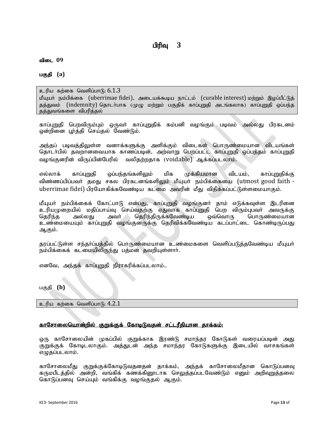பகுதி (a)

#### உரிய கற்கை வெளிப்பா $f$ 6.1.3

மீயுயர் நம்பிக்கை (uberrimae fidei), அடையக்கூடிய நாட்டம் (curable interest) மற்றும் இழப்பீட்டுத் தத்துவம் (indemnity) தொடர்பாக (முழு மற்றும் பகுதிக் காப்புறுதி அடங்கலாக) காப்புறுதி ஒப்பந்த தத்துவங்களை விபரித்தல்

காப்புறுதி பெறவிரும்பும் ஒருவா் காப்புறுதிக் கம்பனி வழங்கும் படிவம் அல்லது பிரகடனம் லன்றினை பர்க்கி செய்கல் வேண்டும்.

அந்தப் படிவத்திலுள்ள வனாக்களுக்கு அளிக்கும் விடைகள் பொருண்மையான விடயங்கள் தொடா்பில் தவறானவையாக காணப்படின், அற்வாறு பெறப்பட்ட காப்புறுதி ஒப்பந்தம் காப்புறுதி வழங்குனரின் விருப்பின்பேரில் வலிதற்றதாக (voidable) ஆக்கப்படலாம்.

எல்லாக் காப்புறுதி ஒப்பந்தங்களிலும் மிக முக்கியமான விடயம், காப்புறுதிக்கு விண்ணப்பிப்பவர் தமது சகல பிரகடனங்களிலும் மீயுயர் நம்பிக்கையை (utmost good faith uberrimae fidei) பிரயோகிக்கவேண்டிய கடமை அவரின் மீது விதிக்கப்பட்டுள்ளமையாகும்.

மீயுயா் நம்பிக்கைக் கோட்பாடு என்பது, காப்புறுதி வழங்குனா் தாம் எடுக்கவுள்ள இடரினை உரியமுறையில் மதிப்பாய்வு செய்வதற்கு ஏதுவாக காப்புறுதி பெற விரும்புபவா் அவருக்கு<br>தெரிந்த அல்லது அவா் தெரிந்திருக்கவேண்டிய ஒவ்வொரு பொருண்மையான அவா் ; தெரிந்திருக்கவேண்டிய உண்மையையும் காப்புறுதி வழங்குனருக்கு தெரிவிக்கவேண்டிய கடப்பாட்டை கொண்டிருப்பது ஆகும்.

தரப்பட்டுள்ள சந்தா்ப்பத்தில் பொருண்மையான உண்மைகளை வெளிப்படுத்தவேண்டிய மீயுயா் நம்பிக்கைக் கடமையிலிருந்து பத்மன் தவறியுள்ளார்.

எனவே, அந்தக் காப்புறுதி நிராகரிக்கப்படலாம்..

பகுதி **(b)** 

உரிய கற்கை வெளிப்பாடு:  $4.2.1$ 

#### <u>காசோலையொன்றில் குறுக்குக் கோடிடுவதன் சட்டரீகியான காக்கம்:</u>

ஒரு காசோலையின் முகப்பில் குறுக்காக இரண்டு சமாந்தர கோடுகள் வரையப்படின் அது குறுக்குக் கோடிடலாகும். அக்குடன் அந்த சமாந்தர கோடுகளுக்கு இடையில் வாசகங்கள் எழுதப்படலாம்.

காசோலைமீது குறுக்குக்கோடிடுவதனதன் தாக்கம், அந்தக் காசோலைமீதான கொடுப்பனவு கருமபீடக்கில் அன்றி, வங்கிக் கணக்கினூடாக செலுத்தப்படவேண்டும் எனும் அறிவுறுத்தலை கொடுப்பனவு செய்யும் வங்கிக்கு வழங்குதல் ஆகும்.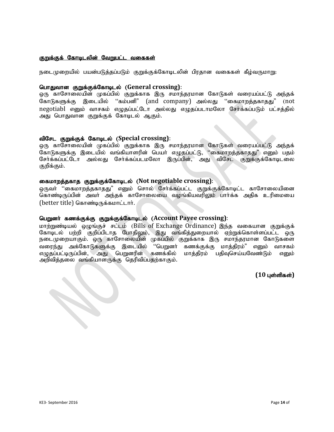#### குறுக்குக் கோடிடலின் வேறுபட்ட வகைகள்

நடைமுறையில் பயன்படுத்தப்படும் குறுக்குக்கோடிடலின் பிரதான வகைகள் கீழ்வருமாறு:

#### nghJthd FWf;Ff;Nfhbly; (**General crossing)**:

ஒரு காசோலையின் முகப்பில் குறுக்காக இரு சமாந்தரமான கோடுகள் வரையப்பட்டு அந்தக் கோடுகளுக்கு இடையில் "கம்பனி" (and company) அல்லது "கைமாறத்தகாதது" (not negotiabl எனும் வாசகம் எழுதப்பட்டோ அல்லது எழுதப்படாமலோ சேர்க்கப்படும் பட்சத்தில் அது பொதுவான குறுக்குக் கோடிடல் ஆகும்.

#### tpNrl FWf;Ff; Nfhbly; (**Special crossing)**:

ஒரு காசோலையின் முகப்பில் குறுக்காக இரு சமாந்தரமான கோடுகள் வரையப்பட்டு அந்தக் கோடுகளுக்கு இடையில் வங்கியாளரின் பெயா் எழுதப்பட்டு, ''கைமாறத்தகாதது" எனும் பதம் சேர்க்கப்பட்டோ அல்லது சேர்க்கப்படமலோ இருப்பின், அது விசேட குறுக்குக்கோடிடலை குறிக்கும்.

#### ifkhwj;jfhj FWf;Ff;Nfhbly; (**Not negotiable crossing)**:

லுருவர் ''கைமாறத்தகாதது" எனும் சொல் சேர்க்கப்பட்ட குறுக்குக்கோடிட்ட காசோலையினை கொண்டிருப்பின் அவர் அந்தக் காசோலையை வழங்கியவரிலும் பார்க்க அதிக உரிமையை (better title) கொண்டிருக்கமாட்டார்.

# பெறுனர் கணக்குக்கு குறுக்குக்கோடிடல் (Account Payee crossing):

மாற்றுண்டியல் மைங்குச் சட்டம் (Bills of Exchange Ordinance) இந்த வகையான குறுக்குக் கோடிடல் பற்றி குறிப்பிடாத போதிலும், இது வங்கித்துறையால் ஏற்றுக்கொள்ளப்பட்ட ஒரு நடைமுறையாகும். ஒரு காசோலையின் முகப்பில் குறுக்காக இரு சமாந்தரமான கோடுகளை வரைந்து அக்கோடுகளுக்கு இடையில் ''பெறுனா் கணக்குக்கு மாத்திரம்" எனும் வாசகம் எழுதப்பட்டிருப்பின், அது பெறுனரின் கணக்கில் மாத்திரம் பதிவுசெய்யவேண்டும் எனும் அறிவித்தலை வங்கியாளருக்கு தெரிவிப்பதற்காகும்.

 $(10 \text{ L} \cdot \text{S} \cdot \text{S} \cdot \text{S})$